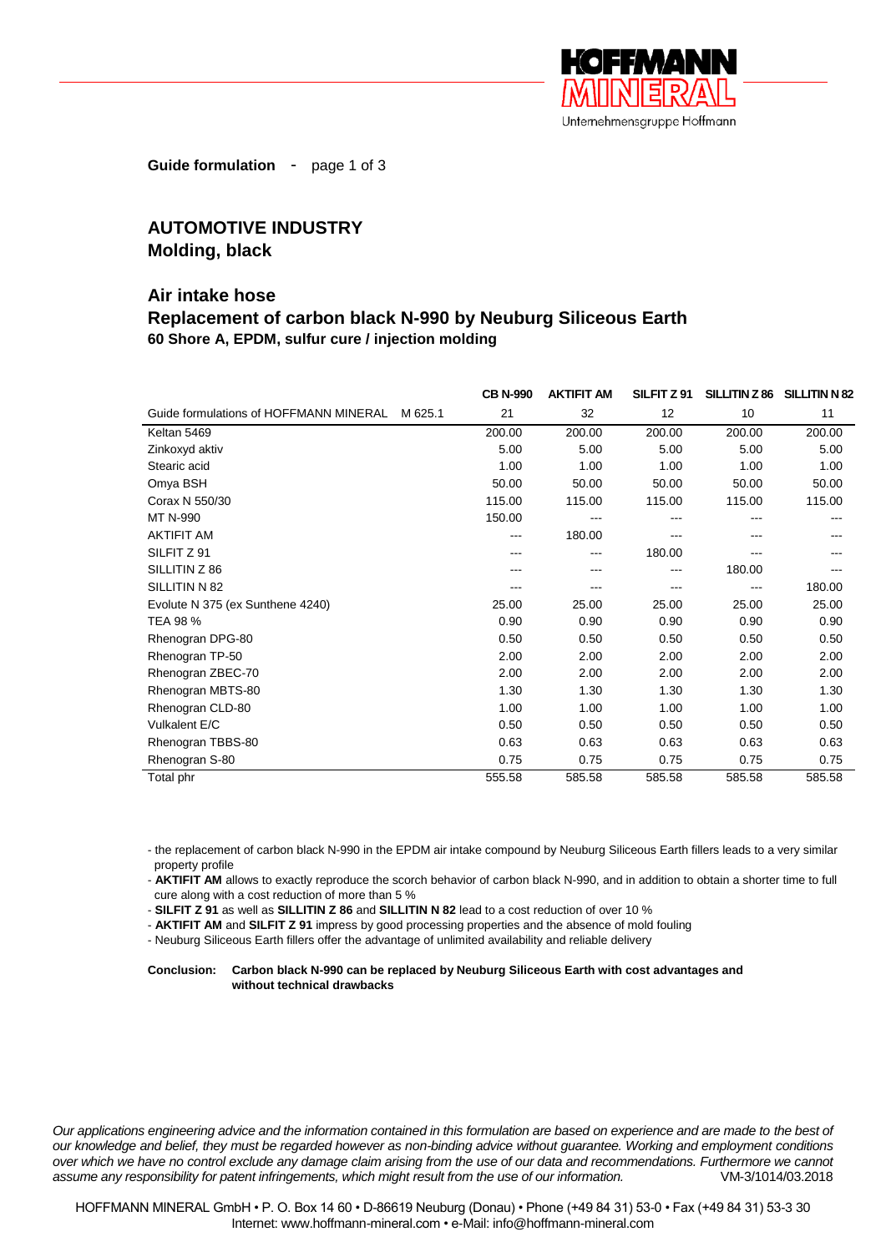

**Guide formulation** - page 1 of 3

## **AUTOMOTIVE INDUSTRY Molding, black**

## **Air intake hose Replacement of carbon black N-990 by Neuburg Siliceous Earth 60 Shore A, EPDM, sulfur cure / injection molding**

|                                                   | <b>CB N-990</b> | <b>AKTIFIT AM</b> | SILFIT Z 91 | SILLITIN Z 86 | <b>SILLITIN N 82</b> |
|---------------------------------------------------|-----------------|-------------------|-------------|---------------|----------------------|
| Guide formulations of HOFFMANN MINERAL<br>M 625.1 | 21              | 32                | 12          | 10            | 11                   |
| Keltan 5469                                       | 200.00          | 200.00            | 200.00      | 200.00        | 200.00               |
| Zinkoxyd aktiv                                    | 5.00            | 5.00              | 5.00        | 5.00          | 5.00                 |
| Stearic acid                                      | 1.00            | 1.00              | 1.00        | 1.00          | 1.00                 |
| Omya BSH                                          | 50.00           | 50.00             | 50.00       | 50.00         | 50.00                |
| Corax N 550/30                                    | 115.00          | 115.00            | 115.00      | 115.00        | 115.00               |
| MT N-990                                          | 150.00          |                   |             |               |                      |
| <b>AKTIFIT AM</b>                                 |                 | 180.00            |             |               |                      |
| SILFIT Z 91                                       |                 | ---               | 180.00      | ---           |                      |
| SILLITIN Z 86                                     |                 |                   | ---         | 180.00        |                      |
| SILLITIN N 82                                     |                 |                   |             | ---           | 180.00               |
| Evolute N 375 (ex Sunthene 4240)                  | 25.00           | 25.00             | 25.00       | 25.00         | 25.00                |
| TEA 98 %                                          | 0.90            | 0.90              | 0.90        | 0.90          | 0.90                 |
| Rhenogran DPG-80                                  | 0.50            | 0.50              | 0.50        | 0.50          | 0.50                 |
| Rhenogran TP-50                                   | 2.00            | 2.00              | 2.00        | 2.00          | 2.00                 |
| Rhenogran ZBEC-70                                 | 2.00            | 2.00              | 2.00        | 2.00          | 2.00                 |
| Rhenogran MBTS-80                                 | 1.30            | 1.30              | 1.30        | 1.30          | 1.30                 |
| Rhenogran CLD-80                                  | 1.00            | 1.00              | 1.00        | 1.00          | 1.00                 |
| Vulkalent E/C                                     | 0.50            | 0.50              | 0.50        | 0.50          | 0.50                 |
| Rhenogran TBBS-80                                 | 0.63            | 0.63              | 0.63        | 0.63          | 0.63                 |
| Rhenogran S-80                                    | 0.75            | 0.75              | 0.75        | 0.75          | 0.75                 |
| Total phr                                         | 555.58          | 585.58            | 585.58      | 585.58        | 585.58               |

- the replacement of carbon black N-990 in the EPDM air intake compound by Neuburg Siliceous Earth fillers leads to a very similar property profile

- **AKTIFIT AM** allows to exactly reproduce the scorch behavior of carbon black N-990, and in addition to obtain a shorter time to full cure along with a cost reduction of more than 5 %

- **SILFIT Z 91** as well as **SILLITIN Z 86** and **SILLITIN N 82** lead to a cost reduction of over 10 %

- **AKTIFIT AM** and **SILFIT Z 91** impress by good processing properties and the absence of mold fouling

- Neuburg Siliceous Earth fillers offer the advantage of unlimited availability and reliable delivery

## **Conclusion: Carbon black N-990 can be replaced by Neuburg Siliceous Earth with cost advantages and without technical drawbacks**

*Our applications engineering advice and the information contained in this formulation are based on experience and are made to the best of our knowledge and belief, they must be regarded however as non-binding advice without guarantee. Working and employment conditions over which we have no control exclude any damage claim arising from the use of our data and recommendations. Furthermore we cannot assume any responsibility for patent infringements, which might result from the use of our information.* VM-3/1014/03.2018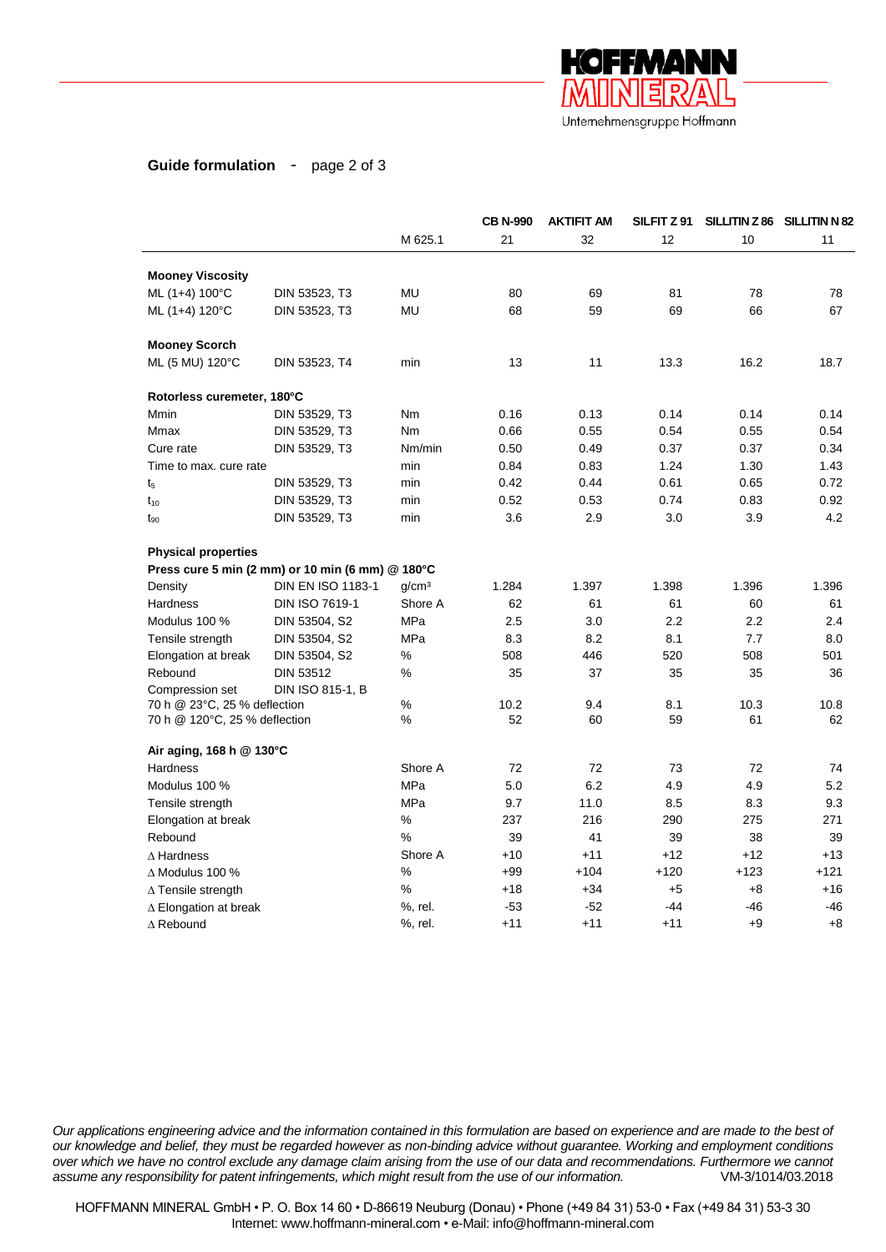

## **Guide formulation** - page 2 of 3

|                                 |                                                  |                   | <b>CB N-990</b> | <b>AKTIFIT AM</b> | SILFIT Z 91 |        | SILLITIN Z 86 SILLITIN N 82 |
|---------------------------------|--------------------------------------------------|-------------------|-----------------|-------------------|-------------|--------|-----------------------------|
|                                 |                                                  | M 625.1           | 21              | 32                | 12          | 10     | 11                          |
| <b>Mooney Viscosity</b>         |                                                  |                   |                 |                   |             |        |                             |
| ML (1+4) 100°C                  | DIN 53523, T3                                    | MU                | 80              | 69                | 81          | 78     | 78                          |
| ML (1+4) 120°C                  | DIN 53523, T3                                    | MU                | 68              | 59                | 69          | 66     | 67                          |
| <b>Mooney Scorch</b>            |                                                  |                   |                 |                   |             |        |                             |
| ML (5 MU) 120°C                 | DIN 53523, T4                                    | min               | 13              | 11                | 13.3        | 16.2   | 18.7                        |
| Rotorless curemeter, 180°C      |                                                  |                   |                 |                   |             |        |                             |
| Mmin                            | DIN 53529, T3                                    | Nm                | 0.16            | 0.13              | 0.14        | 0.14   | 0.14                        |
| Mmax                            | DIN 53529, T3                                    | Nm                | 0.66            | 0.55              | 0.54        | 0.55   | 0.54                        |
| Cure rate                       | DIN 53529, T3                                    | Nm/min            | 0.50            | 0.49              | 0.37        | 0.37   | 0.34                        |
| Time to max. cure rate          |                                                  | min               | 0.84            | 0.83              | 1.24        | 1.30   | 1.43                        |
| $t_{5}$                         | DIN 53529, T3                                    | min               | 0.42            | 0.44              | 0.61        | 0.65   | 0.72                        |
| $t_{10}$                        | DIN 53529, T3                                    | min               | 0.52            | 0.53              | 0.74        | 0.83   | 0.92                        |
| $t_{90}$                        | DIN 53529, T3                                    | min               | 3.6             | 2.9               | 3.0         | 3.9    | 4.2                         |
| <b>Physical properties</b>      |                                                  |                   |                 |                   |             |        |                             |
|                                 | Press cure 5 min (2 mm) or 10 min (6 mm) @ 180°C |                   |                 |                   |             |        |                             |
| Density                         | <b>DIN EN ISO 1183-1</b>                         | q/cm <sup>3</sup> | 1.284           | 1.397             | 1.398       | 1.396  | 1.396                       |
| <b>Hardness</b>                 | <b>DIN ISO 7619-1</b>                            | Shore A           | 62              | 61                | 61          | 60     | 61                          |
| Modulus 100 %                   | DIN 53504, S2                                    | MPa               | 2.5             | 3.0               | 2.2         | 2.2    | 2.4                         |
| Tensile strength                | DIN 53504, S2                                    | <b>MPa</b>        | 8.3             | 8.2               | 8.1         | 7.7    | 8.0                         |
| Elongation at break             | DIN 53504, S2                                    | %                 | 508             | 446               | 520         | 508    | 501                         |
| Rebound                         | <b>DIN 53512</b>                                 | %                 | 35              | 37                | 35          | 35     | 36                          |
| Compression set                 | DIN ISO 815-1, B                                 |                   |                 |                   |             |        |                             |
| 70 h @ 23°C, 25 % deflection    |                                                  | %                 | 10.2            | 9.4               | 8.1         | 10.3   | 10.8                        |
| 70 h @ 120°C, 25 % deflection   |                                                  | %                 | 52              | 60                | 59          | 61     | 62                          |
| Air aging, 168 h @ 130°C        |                                                  |                   |                 |                   |             |        |                             |
| <b>Hardness</b>                 |                                                  | Shore A           | 72              | 72                | 73          | 72     | 74                          |
| Modulus 100 %                   |                                                  | MPa               | 5.0             | 6.2               | 4.9         | 4.9    | 5.2                         |
| Tensile strength                |                                                  | <b>MPa</b>        | 9.7             | 11.0              | 8.5         | 8.3    | 9.3                         |
| Elongation at break             |                                                  | %                 | 237             | 216               | 290         | 275    | 271                         |
| Rebound                         |                                                  | %                 | 39              | 41                | 39          | 38     | 39                          |
| $\Delta$ Hardness               |                                                  | Shore A           | $+10$           | $+11$             | $+12$       | $+12$  | $+13$                       |
| $\Delta$ Modulus 100 %          |                                                  | %                 | $+99$           | $+104$            | $+120$      | $+123$ | $+121$                      |
| $\Delta$ Tensile strength       |                                                  | %                 | $+18$           | $+34$             | $+5$        | $+8$   | $+16$                       |
| $\triangle$ Elongation at break |                                                  | %, rel.           | $-53$           | $-52$             | $-44$       | -46    | -46                         |
| $\Delta$ Rebound                |                                                  | %, rel.           | $+11$           | $+11$             | $+11$       | $+9$   | $+8$                        |

*Our applications engineering advice and the information contained in this formulation are based on experience and are made to the best of our knowledge and belief, they must be regarded however as non-binding advice without guarantee. Working and employment conditions over which we have no control exclude any damage claim arising from the use of our data and recommendations. Furthermore we cannot assume any responsibility for patent infringements, which might result from the use of our information.* VM-3/1014/03.2018